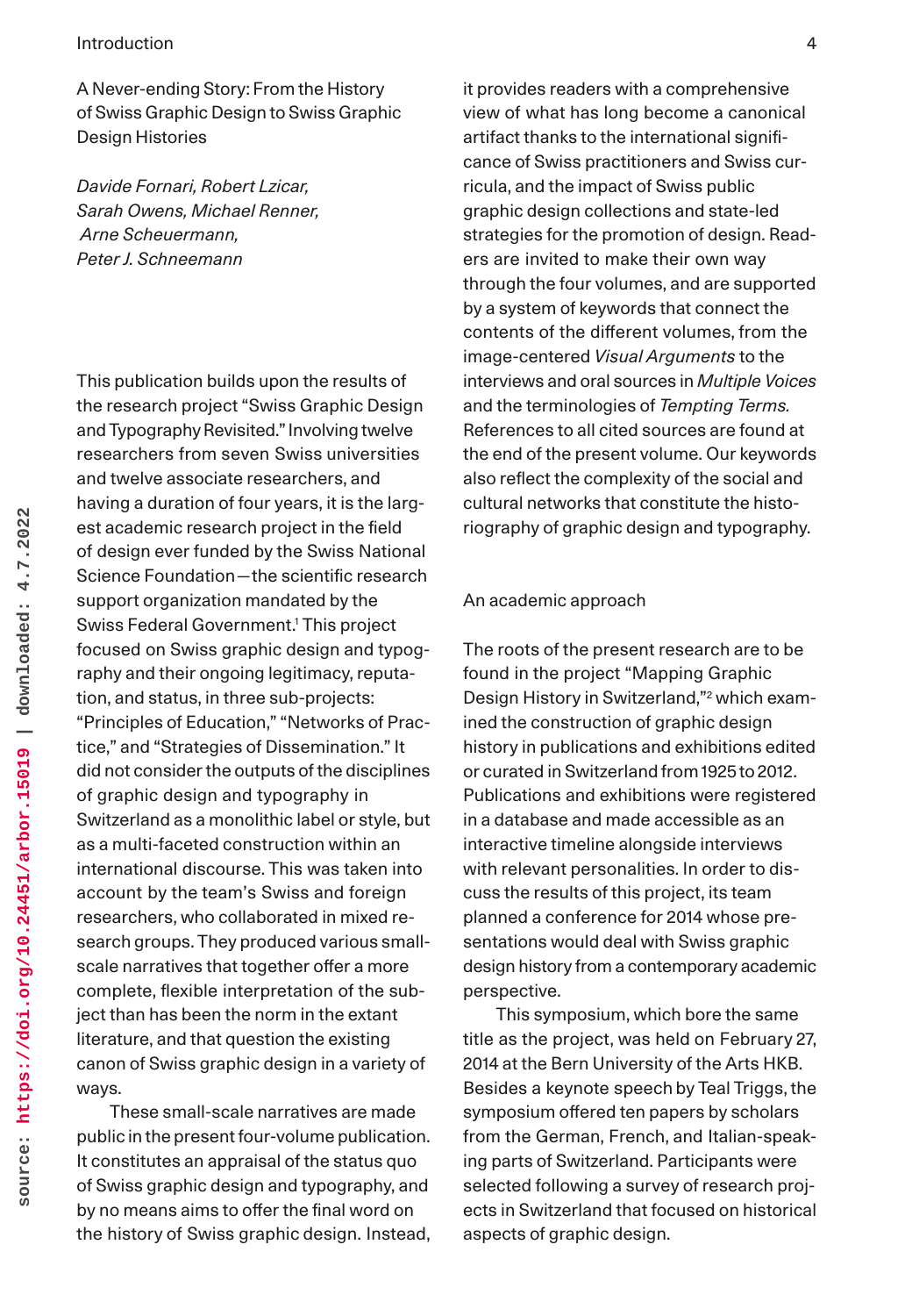A Never-ending Story: From the History of Swiss Graphic Design to Swiss Graphic Design Histories

*Davide Fornari, Robert Lzicar, Sarah Owens, Michael Renner, Arne Scheuermann, Peter J. Schneemann*

This publication builds upon the results of the research project "Swiss Graphic Design and Typography Revisited." Involving twelve researchers from seven Swiss universities and twelve associate researchers, and having a duration of four years, it is the largest academic research project in the field of design ever funded by the Swiss National Science Foundation—the scientific research support organization mandated by the Swiss Federal Government.1 This project focused on Swiss graphic design and typography and their ongoing legitimacy, reputation, and status, in three sub-projects: "Principles of Education," "Networks of Practice," and "Strategies of Dissemination." It did not consider the outputs of the disciplines of graphic design and typography in Switzerland as a monolithic label or style, but as a multi-faceted construction within an international discourse. This was taken into account by the team's Swiss and foreign researchers, who collaborated in mixed research groups. They produced various smallscale narratives that together offer a more complete, flexible interpretation of the subject than has been the norm in the extant literature, and that question the existing canon of Swiss graphic design in a variety of ways.

These small-scale narratives are made public in the present four-volume publication. It constitutes an appraisal of the status quo of Swiss graphic design and typography, and by no means aims to offer the final word on the history of Swiss graphic design. Instead,

it provides readers with a comprehensive view of what has long become a canonical artifact thanks to the international significance of Swiss practitioners and Swiss curricula, and the impact of Swiss public graphic design collections and state-led strategies for the promotion of design. Readers are invited to make their own way through the four volumes, and are supported by a system of keywords that connect the contents of the different volumes, from the image-centered *Visual Arguments* to the interviews and oral sources in *Multiple Voices* and the terminologies of *Tempting Terms.*  References to all cited sources are found at the end of the present volume. Our keywords also reflect the complexity of the social and cultural networks that constitute the historiography of graphic design and typography.

#### An academic approach

The roots of the present research are to be found in the project "Mapping Graphic Design History in Switzerland,"2 which examined the construction of graphic design history in publications and exhibitions edited or curated in Switzerland from 1925 to 2012. Publications and exhibitions were registered in a database and made accessible as an interactive timeline alongside interviews with relevant personalities. In order to discuss the results of this project, its team planned a conference for 2014 whose presentations would deal with Swiss graphic design history from a contemporary academic perspective.

This symposium, which bore the same title as the project, was held on February 27, 2014 at the Bern University of the Arts HKB. Besides a keynote speech by Teal Triggs, the symposium offered ten papers by scholars from the German, French, and Italian-speaking parts of Switzerland. Participants were selected following a survey of research projects in Switzerland that focused on historical aspects of graphic design.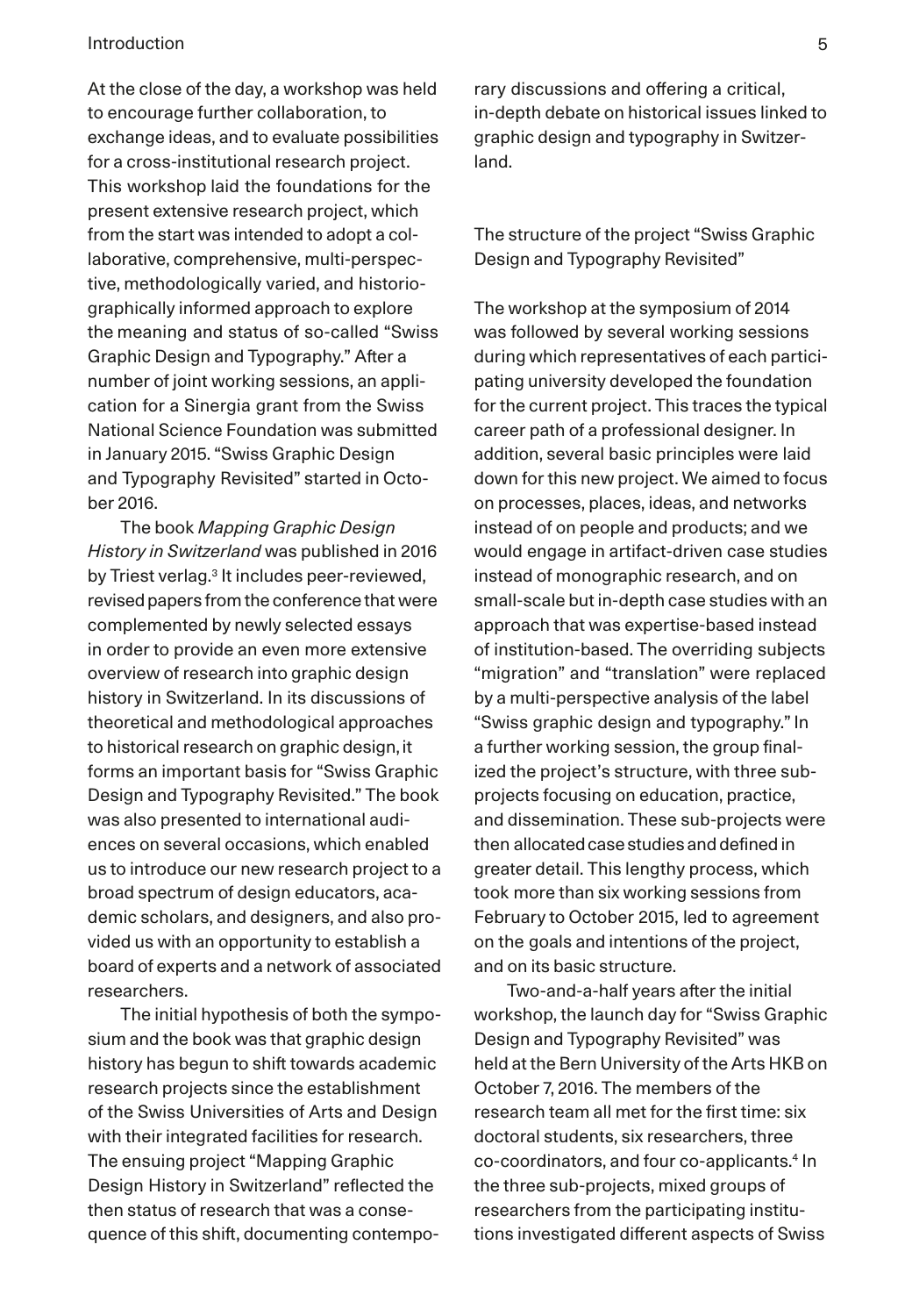At the close of the day, a workshop was held to encourage further collaboration, to exchange ideas, and to evaluate possibilities for a cross-institutional research project. This workshop laid the foundations for the present extensive research project, which from the start was intended to adopt a collaborative, comprehensive, multi-perspective, methodologically varied, and historiographically informed approach to explore the meaning and status of so-called "Swiss Graphic Design and Typography." After a number of joint working sessions, an application for a Sinergia grant from the Swiss National Science Foundation was submitted in January 2015. "Swiss Graphic Design and Typography Revisited" started in October 2016.

The book *Mapping Graphic Design History in Switzerland* was published in 2016 by Triest verlag.<sup>3</sup> It includes peer-reviewed, revised papers from the conference that were complemented by newly selected essays in order to provide an even more extensive overview of research into graphic design history in Switzerland. In its discussions of theoretical and methodological approaches to historical research on graphic design, it forms an important basis for "Swiss Graphic Design and Typography Revisited." The book was also presented to international audiences on several occasions, which enabled us to introduce our new research project to a broad spectrum of design educators, academic scholars, and designers, and also provided us with an opportunity to establish a board of experts and a network of associated researchers.

The initial hypothesis of both the symposium and the book was that graphic design history has begun to shift towards academic research projects since the establishment of the Swiss Universities of Arts and Design with their integrated facilities for research. The ensuing project "Mapping Graphic Design History in Switzerland" reflected the then status of research that was a consequence of this shift, documenting contemporary discussions and offering a critical, in-depth debate on historical issues linked to graphic design and typography in Switzerland.

The structure of the project "Swiss Graphic Design and Typography Revisited"

The workshop at the symposium of 2014 was followed by several working sessions during which representatives of each participating university developed the foundation for the current project. This traces the typical career path of a professional designer. In addition, several basic principles were laid down for this new project. We aimed to focus on processes, places, ideas, and networks instead of on people and products; and we would engage in artifact-driven case studies instead of monographic research, and on small-scale but in-depth case studies with an approach that was expertise-based instead of institution-based. The overriding subjects "migration" and "translation" were replaced by a multi-perspective analysis of the label "Swiss graphic design and typography." In a further working session, the group finalized the project's structure, with three subprojects focusing on education, practice, and dissemination. These sub-projects were then allocated case studies and defined in greater detail. This lengthy process, which took more than six working sessions from February to October 2015, led to agreement on the goals and intentions of the project, and on its basic structure.

Two-and-a-half years after the initial workshop, the launch day for "Swiss Graphic Design and Typography Revisited" was held at the Bern University of the Arts HKB on October 7, 2016. The members of the research team all met for the first time: six doctoral students, six researchers, three co-coordinators, and four co-applicants.<sup>4</sup> In the three sub-projects, mixed groups of researchers from the participating institutions investigated different aspects of Swiss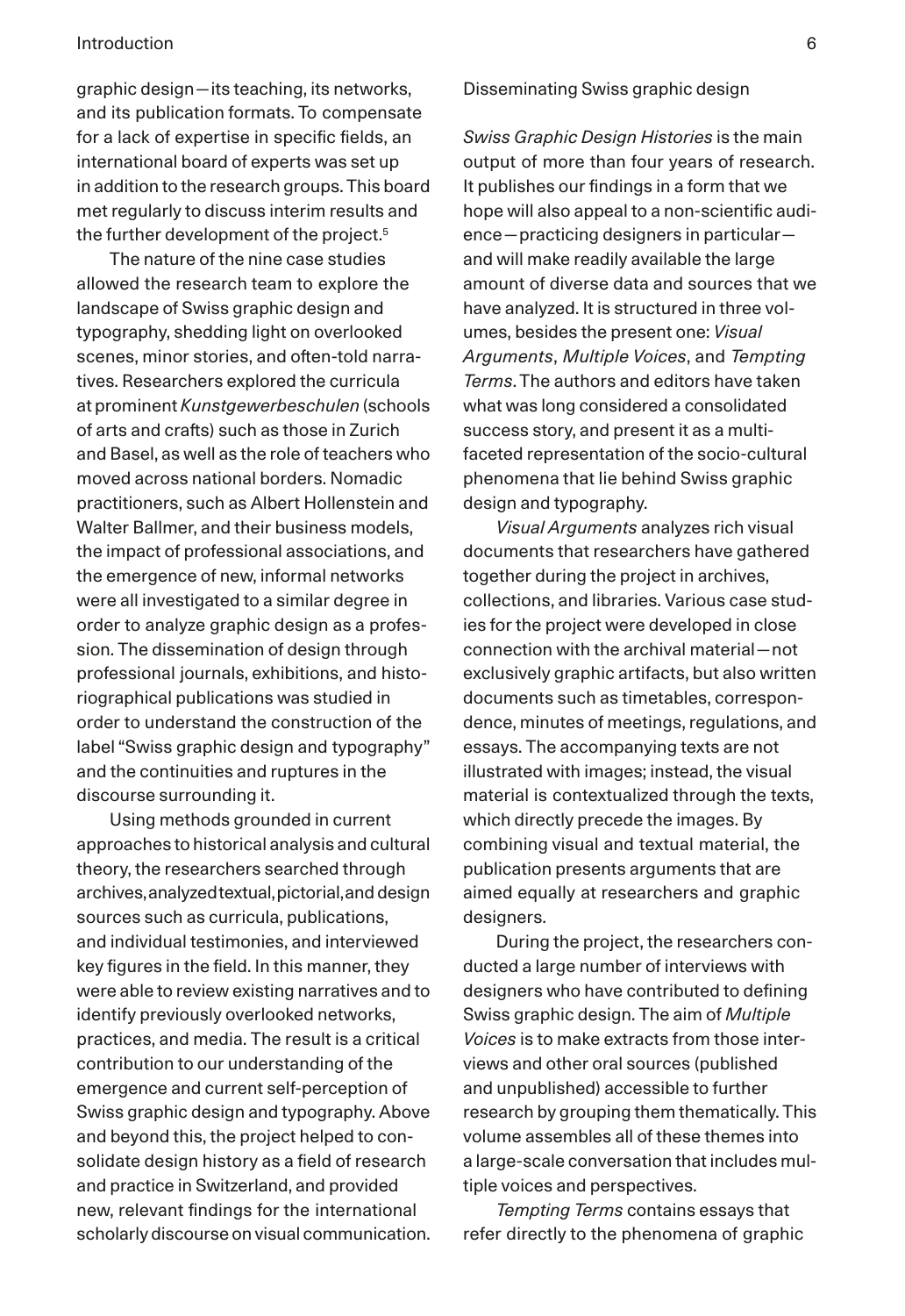graphic design—its teaching, its networks, and its publication formats. To compensate for a lack of expertise in specific fields, an international board of experts was set up in addition to the research groups. This board met regularly to discuss interim results and the further development of the project.<sup>5</sup>

The nature of the nine case studies allowed the research team to explore the landscape of Swiss graphic design and typography, shedding light on overlooked scenes, minor stories, and often-told narratives. Researchers explored the curricula at prominent *Kunstgewerbeschulen* (schools of arts and crafts) such as those in Zurich and Basel, as well as the role of teachers who moved across national borders. Nomadic practitioners, such as Albert Hollenstein and Walter Ballmer, and their business models, the impact of professional associations, and the emergence of new, informal networks were all investigated to a similar degree in order to analyze graphic design as a profession. The dissemination of design through professional journals, exhibitions, and historiographical publications was studied in order to understand the construction of the label "Swiss graphic design and typography" and the continuities and ruptures in the discourse surrounding it.

Using methods grounded in current approaches to historical analysis and cultural theory, the researchers searched through archives, analyzed textual, pictorial, and design sources such as curricula, publications, and individual testimonies, and interviewed key figures in the field. In this manner, they were able to review existing narratives and to identify previously overlooked networks, practices, and media. The result is a critical contribution to our understanding of the emergence and current self-perception of Swiss graphic design and typography. Above and beyond this, the project helped to consolidate design history as a field of research and practice in Switzerland, and provided new, relevant findings for the international scholarly discourse on visual communication. Disseminating Swiss graphic design

*Swiss Graphic Design Histories* is the main output of more than four years of research. It publishes our findings in a form that we hope will also appeal to a non-scientific audience—practicing designers in particular and will make readily available the large amount of diverse data and sources that we have analyzed. It is structured in three volumes, besides the present one: *Visual Arguments*, *Multiple Voices*, and *Tempting Terms*. The authors and editors have taken what was long considered a consolidated success story, and present it as a multifaceted representation of the socio-cultural phenomena that lie behind Swiss graphic design and typography.

*Visual Arguments* analyzes rich visual documents that researchers have gathered together during the project in archives, collections, and libraries. Various case studies for the project were developed in close connection with the archival material—not exclusively graphic artifacts, but also written documents such as timetables, correspondence, minutes of meetings, regulations, and essays. The accompanying texts are not illustrated with images; instead, the visual material is contextualized through the texts, which directly precede the images. By combining visual and textual material, the publication presents arguments that are aimed equally at researchers and graphic designers.

During the project, the researchers conducted a large number of interviews with designers who have contributed to defining Swiss graphic design. The aim of *Multiple Voices* is to make extracts from those interviews and other oral sources (published and unpublished) accessible to further research by grouping them thematically. This volume assembles all of these themes into a large-scale conversation that includes multiple voices and perspectives.

*Tempting Terms* contains essays that refer directly to the phenomena of graphic